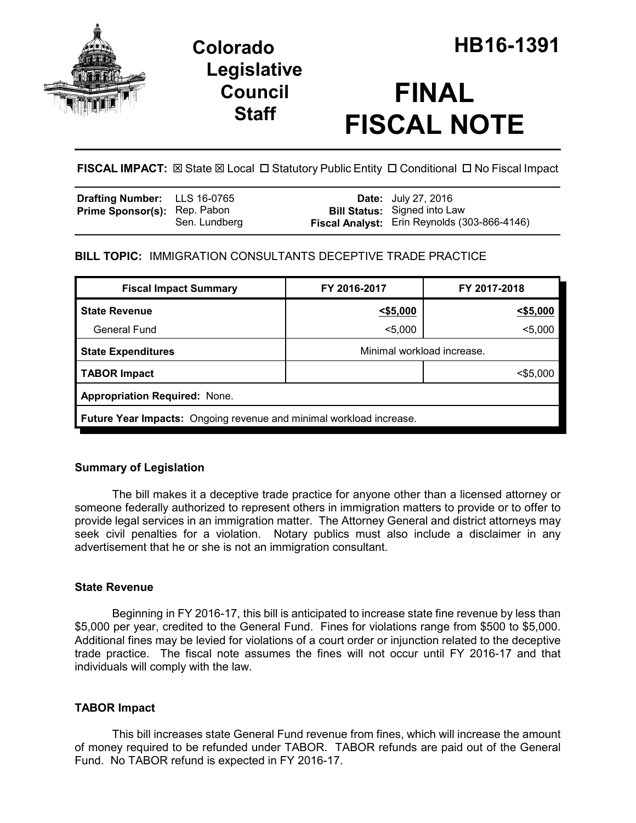

## **Legislative Council Staff**

# **FINAL FISCAL NOTE**

**FISCAL IMPACT:** ⊠ State ⊠ Local □ Statutory Public Entity □ Conditional □ No Fiscal Impact

| <b>Drafting Number:</b> LLS 16-0765 |               | <b>Date:</b> July 27, 2016                                                          |
|-------------------------------------|---------------|-------------------------------------------------------------------------------------|
| <b>Prime Sponsor(s): Rep. Pabon</b> | Sen. Lundberg | <b>Bill Status:</b> Signed into Law<br>Fiscal Analyst: Erin Reynolds (303-866-4146) |

## **BILL TOPIC:** IMMIGRATION CONSULTANTS DECEPTIVE TRADE PRACTICE

| <b>Fiscal Impact Summary</b>                                        | FY 2016-2017               | FY 2017-2018 |  |  |  |
|---------------------------------------------------------------------|----------------------------|--------------|--|--|--|
| <b>State Revenue</b>                                                | $<$ \$5,000                | $<$ \$5,000  |  |  |  |
| General Fund                                                        | $5,000$                    | $5,000$      |  |  |  |
| <b>State Expenditures</b>                                           | Minimal workload increase. |              |  |  |  |
| <b>TABOR Impact</b>                                                 |                            | $<$ \$5,000  |  |  |  |
| <b>Appropriation Required: None.</b>                                |                            |              |  |  |  |
| Future Year Impacts: Ongoing revenue and minimal workload increase. |                            |              |  |  |  |

## **Summary of Legislation**

The bill makes it a deceptive trade practice for anyone other than a licensed attorney or someone federally authorized to represent others in immigration matters to provide or to offer to provide legal services in an immigration matter. The Attorney General and district attorneys may seek civil penalties for a violation. Notary publics must also include a disclaimer in any advertisement that he or she is not an immigration consultant.

### **State Revenue**

Beginning in FY 2016-17, this bill is anticipated to increase state fine revenue by less than \$5,000 per year, credited to the General Fund. Fines for violations range from \$500 to \$5,000. Additional fines may be levied for violations of a court order or injunction related to the deceptive trade practice. The fiscal note assumes the fines will not occur until FY 2016-17 and that individuals will comply with the law.

## **TABOR Impact**

This bill increases state General Fund revenue from fines, which will increase the amount of money required to be refunded under TABOR. TABOR refunds are paid out of the General Fund. No TABOR refund is expected in FY 2016-17.